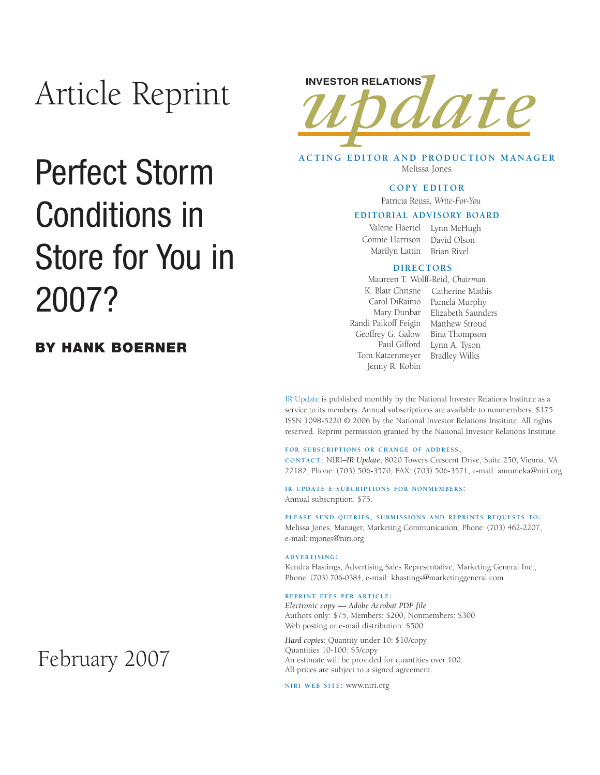# Article Reprint

# Perfect Storm Conditions in Store for You in 2007?

### **BY HANK BOERNER**



**ACTING EDITOR AND PRODUCTION MANAGER** Melissa Jones

#### **COPY EDITOR**

Patricia Reuss, *Write-For-You*

#### **EDITORIAL ADVISORY BOARD**

Valerie Haertel Lynn McHugh Connie Harrison David Olson Marilyn Lattin Brian Rivel

#### **DIRECTORS**

Randi Paikoff Feigin Matthew Stroud Geoffrey G. Galow Paul Gifford Tom Katzenmeyer Jenny R. Kobin Maureen T. Wolff-Reid, *Chairman*

K. Blair Christie Catherine Mathis Carol DiRaimo Pamela Murphy Mary Dunbar Elizabeth Saunders Bina Thompson Lynn A. Tyson Bradley Wilks

IR Update is published monthly by the National Investor Relations Institute as a service to its members. Annual subscriptions are available to nonmembers: \$175. ISSN 1098-5220 © 2006 by the National Investor Relations Institute. All rights reserved. Reprint permission granted by the National Investor Relations Institute.

#### **FOR SUBSCRIPTIONS OR CHANGE OF ADDRESS,**

**CONTACT:** NIRI–*IR Update*, 8020 Towers Crescent Drive, Suite 250, Vienna, VA 22182, Phone: (703) 506-3570, FAX: (703) 506-3571, e-mail: amumeka@niri.org

**IR UPDATE E-SUBCRIPTIONS FOR NONMEMBERS:**  Annual subscription: \$75.

**PLEASE SEND QUERIES, SUBMISSIONS AND REPRINTS REQUESTS TO:** Melissa Jones, Manager, Marketing Communication, Phone: (703) 462-2207, e-mail: mjones@niri.org

#### **ADVERTISING:**

Kendra Hastings, Advertising Sales Representative, Marketing General Inc., Phone: (703) 706-0384, e-mail: khastings@marketinggeneral.com

#### **REPRINT FEES PER ARTICLE:**

*Electronic copy* **—** *Adobe Acrobat PDF file*  Authors only: \$75, Members: \$200, Nonmembers: \$300 Web posting or e-mail distribution: \$500

*Hard copies:* Quantity under 10: \$10/copy Quantities 10-100: \$5/copy An estimate will be provided for quantities over 100. All prices are subject to a signed agreement.

**NIRI WEB SITE:** www.niri.org

## February 2007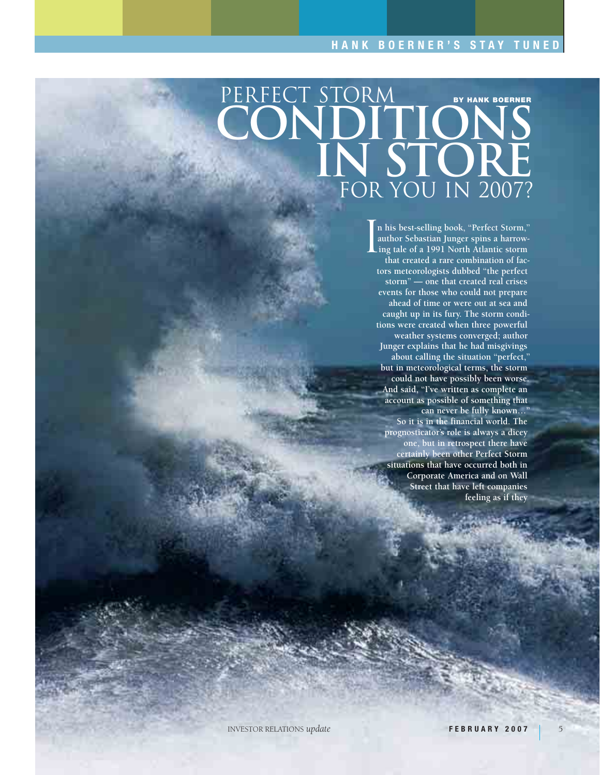## FOR YOU IN 2007? CONDITIONS **IN STORE**  PERFECT STORM **BY HANK BOERNER**

**n his best-selling book, "Perfect Storm," author Sebastian Junger spins a harrowing tale of a 1991 North Atlantic storm that created a rare combination of factors meteorologists dubbed "the perfect storm" — one that created real crises events for those who could not prepare ahead of time or were out at sea and caught up in its fury. The storm conditions were created when three powerful weather systems converged; author Junger explains that he had misgivings about calling the situation "perfect," but in meteorological terms, the storm could not have possibly been worse. And said, "I've written as complete an account as possible of something that can never be fully known…" So it is in the financial world. The prognosticator's role is always a dicey one, but in retrospect there have certainly been other Perfect Storm situations that have occurred both in Corporate America and on Wall Street that have left companies feeling as if they**  $\left[\begin{matrix} \n\frac{1}{a} \n\end{matrix}\right]$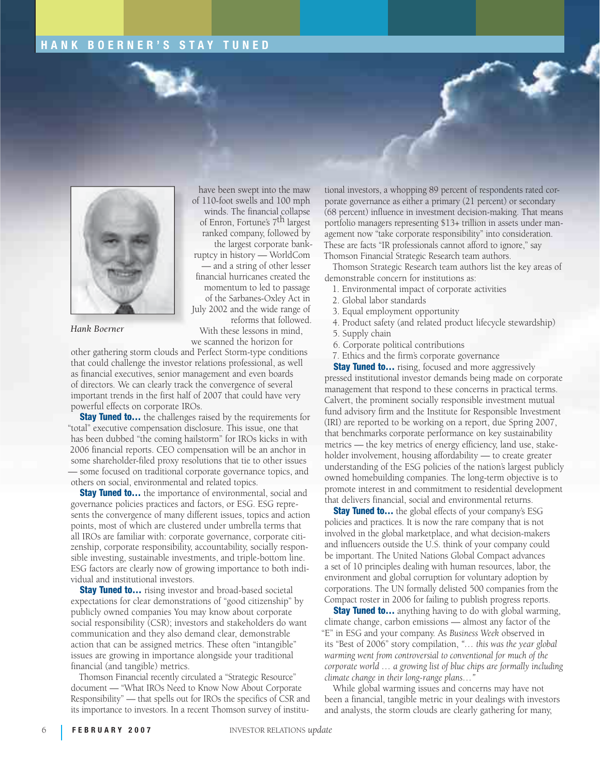### **HANK BOERNER'S STAY TUNED**



have been swept into the maw of 110-foot swells and 100 mph winds. The financial collapse of Enron, Fortune's 7th largest ranked company, followed by the largest corporate bankruptcy in history — WorldCom — and a string of other lesser financial hurricanes created the momentum to led to passage of the Sarbanes-Oxley Act in July 2002 and the wide range of reforms that followed.

*Hank Boerner*

With these lessons in mind, we scanned the horizon for

other gathering storm clouds and Perfect Storm-type conditions that could challenge the investor relations professional, as well as financial executives, senior management and even boards of directors. We can clearly track the convergence of several important trends in the first half of 2007 that could have very powerful effects on corporate IROs.

**Stay Tuned to...** the challenges raised by the requirements for "total" executive compensation disclosure. This issue, one that has been dubbed "the coming hailstorm" for IROs kicks in with 2006 financial reports. CEO compensation will be an anchor in some shareholder-filed proxy resolutions that tie to other issues — some focused on traditional corporate governance topics, and others on social, environmental and related topics.

**Stay Tuned to...** the importance of environmental, social and governance policies practices and factors, or ESG. ESG represents the convergence of many different issues, topics and action points, most of which are clustered under umbrella terms that all IROs are familiar with: corporate governance, corporate citizenship, corporate responsibility, accountability, socially responsible investing, sustainable investments, and triple-bottom line. ESG factors are clearly now of growing importance to both individual and institutional investors.

**Stay Tuned to...** rising investor and broad-based societal expectations for clear demonstrations of "good citizenship" by publicly owned companies You may know about corporate social responsibility (CSR); investors and stakeholders do want communication and they also demand clear, demonstrable action that can be assigned metrics. These often "intangible" issues are growing in importance alongside your traditional financial (and tangible) metrics.

Thomson Financial recently circulated a "Strategic Resource" document — "What IROs Need to Know Now About Corporate Responsibility" — that spells out for IROs the specifics of CSR and its importance to investors. In a recent Thomson survey of institutional investors, a whopping 89 percent of respondents rated corporate governance as either a primary (21 percent) or secondary (68 percent) influence in investment decision-making. That means portfolio managers representing \$13+ trillion in assets under management now "take corporate responsibility" into consideration. These are facts "IR professionals cannot afford to ignore," say Thomson Financial Strategic Research team authors.

Thomson Strategic Research team authors list the key areas of demonstrable concern for institutions as:

1. Environmental impact of corporate activities

- 2. Global labor standards
- 3. Equal employment opportunity
- 4. Product safety (and related product lifecycle stewardship)
- 5. Supply chain
- 6. Corporate political contributions
- 7. Ethics and the firm's corporate governance

**Stay Tuned to...** rising, focused and more aggressively pressed institutional investor demands being made on corporate management that respond to these concerns in practical terms. Calvert, the prominent socially responsible investment mutual fund advisory firm and the Institute for Responsible Investment (IRI) are reported to be working on a report, due Spring 2007, that benchmarks corporate performance on key sustainability metrics — the key metrics of energy efficiency, land use, stakeholder involvement, housing affordability — to create greater understanding of the ESG policies of the nation's largest publicly owned homebuilding companies. The long-term objective is to promote interest in and commitment to residential development that delivers financial, social and environmental returns.

**Stay Tuned to...** the global effects of your company's ESG policies and practices. It is now the rare company that is not involved in the global marketplace, and what decision-makers and influencers outside the U.S. think of your company could be important. The United Nations Global Compact advances a set of 10 principles dealing with human resources, labor, the environment and global corruption for voluntary adoption by corporations. The UN formally delisted 500 companies from the Compact roster in 2006 for failing to publish progress reports.

**Stay Tuned to...** anything having to do with global warming, climate change, carbon emissions — almost any factor of the "E" in ESG and your company. As *Business Week* observed in its "Best of 2006" story compilation, *"… this was the year global warming went from controversial to conventional for much of the corporate world … a growing list of blue chips are formally including climate change in their long-range plans…"*

While global warming issues and concerns may have not been a financial, tangible metric in your dealings with investors and analysts, the storm clouds are clearly gathering for many,